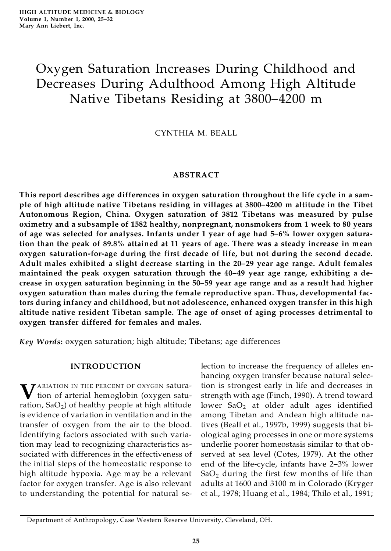# Oxygen Saturation Increases During Childhood and Decreases During Adulthood Among High Altitude Native Tibetans Residing at 3800–4200 m

CYNTHIA M. BEALL

# **ABSTRACT**

**This report describes age differences in oxygen saturation throughout the life cycle in a sam ple of high altitude native Tibetans residing in villages at 3800–4200 m altitude in the Tibet Autonomous Region, China. Oxygen saturation of 3812 Tibetans was measured by pulse oximetry and a subsample of 1582 healthy, nonpregnant, nonsmokers from 1 week to 80 years of age was selected for analyses. Infants under 1 year of age had 5–6% lower oxygen saturation than the peak of 89.8% attained at 11 years of age. There was a steady increase in mean oxygen saturation-for-age during the first decade of life, but not during the second decade. Adult males exhibited a slight decrease starting in the 20–29 year age range. Adult females maintained the peak oxygen saturation through the 40–49 year age range, exhibiting a decrease in oxygen saturation beginning in the 50–59 year age range and as a result had higher oxygen saturation than males during the female reproductive span. Thus, developmental factors during infancy and childhood, but not adolescence, enhanced oxygen transfer in this high altitude native resident Tibetan sample. The age of onset of aging processes detrimental to oxygen transfer differed for females and males.**

*Key Words***:** oxygen saturation; high altitude; Tibetans; age differences

## **INTRODUCTION**

**V** ARIATION IN THE PERCENT OF OXYGEN saturation of arterial hemoglobin (oxygen saturation, Sa $\mathrm{O}_2$ ) of healthy people at high altitude  $\:$  1 is evidence of variation in ventilation and in the transfer of oxygen from the air to the blood. Identifying factors associated with such variation may lead to recognizing characteristics associated with differences in the effectiveness of the initial steps of the homeostatic response to high altitude hypoxia. Age may be a relevant factor for oxygen transfer. Age is also relevant to understanding the potential for natural se-

lection to increase the frequency of alleles enhancing oxygen transfer because natural selection is strongest early in life and decreases in strength with age (Finch, 1990). A trend toward lower  $SaO<sub>2</sub>$  at older adult ages identified among Tibetan and Andean high altitude natives (Beall et al., 1997b, 1999) suggests that biological aging processes in one or more systems underlie poorer homeostasis similar to that observed at sea level (Cotes, 1979). At the other end of the life-cycle, infants have 2–3% lower  $SaO<sub>2</sub>$  during the first few months of life than adults at 1600 and 3100 m in Colorado (Kryger et al., 1978; Huang et al., 1984; Thilo et al., 1991;

Department of Anthropology, Case Western Reserve University, Cleveland, OH.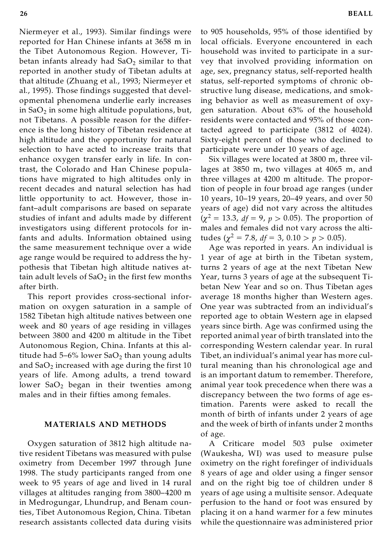Niermeyer et al., 1993). Similar findings were reported for Han Chinese infants at 3658 m in the Tibet Autonomous Region. However, Tibetan infants already had  $SaO<sub>2</sub>$  similar to that reported in another study of Tibetan adults at that altitude (Zhuang et al., 1993; Niermeyer et al., 1995). Those findings suggested that developmental phenomena underlie early increases in Sa $\mathrm{O}_2$  in some high altitude populations, but, not Tibetans. A possible reason for the difference is the long history of Tibetan residence at high altitude and the opportunity for natural selection to have acted to increase traits that enhance oxygen transfer early in life. In contrast, the Colorado and Han Chinese populations have migrated to high altitudes only in recent decades and natural selection has had little opportunity to act. However, those infant–adult comparisons are based on separate studies of infant and adults made by different investigators using different protocols for infants and adults. Information obtained using the same measurement technique over a wide age range would be required to address the hypothesis that Tibetan high altitude natives attain adult levels of Sa $O_2$  in the first few months  $\quad$ after birth.

This report provides cross-sectional information on oxygen saturation in a sample of 1582 Tibetan high altitude natives between one week and 80 years of age residing in villages between 3800 and 4200 m altitude in the Tibet Autonomous Region, China. Infants at this altitude had 5–6% lower  $CaO<sub>2</sub>$  than young adults and  $SaO<sub>2</sub>$  increased with age during the first 10 years of life. Among adults, a trend toward lower  $SaO<sub>2</sub>$  began in their twenties among males and in their fifties among females.

#### **MATERIALS AND METHODS**

Oxygen saturation of 3812 high altitude native resident Tibetans was measured with pulse oximetry from December 1997 through June 1998. The study participants ranged from one week to 95 years of age and lived in 14 rural villages at altitudes ranging from 3800–4200 m in Medrogungar, Lhundrup, and Benam counties, Tibet Autonomous Region, China. Tibetan research assistants collected data during visits to 905 households, 95% of those identified by local officials. Everyone encountered in each household was invited to participate in a survey that involved providing information on age, sex, pregnancy status, self-reported health status, self-reported symptoms of chronic obstructive lung disease, medications, and smoking behavior as well as measurement of oxygen saturation. About 63% of the household residents were contacted and 95% of those contacted agreed to participate (3812 of 4024). Sixty-eight percent of those who declined to participate were under 10 years of age.

Six villages were located at 3800 m, three villages at 3850 m, two villages at 4065 m, and three villages at 4200 m altitude. The proportion of people in four broad age ranges (under 10 years, 10–19 years, 20–49 years, and over 50 years of age) did not vary across the altitudes  $(\chi^2 = 13.3, df = 9, p > 0.05)$ . The proportion of males and females did not vary across the altitudes ( $\chi^2 = 7.8$ , *df* = 3, 0.10 > *p* > 0.05).

Age was reported in years. An individual is 1 year of age at birth in the Tibetan system, turns 2 years of age at the next Tibetan New Year, turns 3 years of age at the subsequent Tibetan New Year and so on. Thus Tibetan ages average 18 months higher than Western ages. One year was subtracted from an individual's reported age to obtain Western age in elapsed years since birth. Age was confirmed using the reported animal year of birth translated into the corresponding Western calendar year. In rural Tibet, an individual's animal year has more cultural meaning than his chronological age and is an important datum to remember. Therefore, animal year took precedence when there was a discrepancy between the two forms of age estimation. Parents were asked to recall the month of birth of infants under 2 years of age and the week of birth of infants under 2 months of age.

A Criticare model 503 pulse oximeter (Waukesha, WI) was used to measure pulse oximetry on the right forefinger of individuals 8 years of age and older using a finger sensor and on the right big toe of children under 8 years of age using a multisite sensor. Adequate perfusion to the hand or foot was ensured by placing it on a hand warmer for a few minutes while the questionnaire was administered prior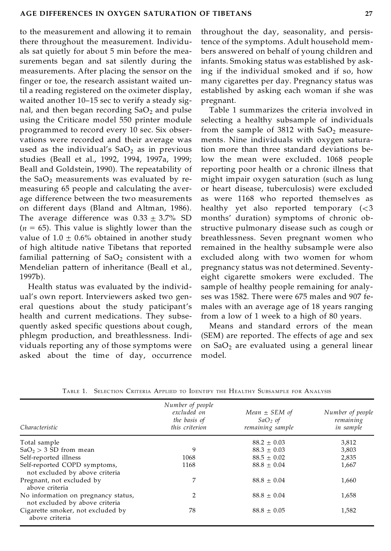to the measurement and allowing it to remain there throughout the measurement. Individu als sat quietly for about 5 min before the measurements began and sat silently during the measurements. After placing the sensor on the finger or toe, the research assistant waited until a reading registered on the oximeter display, waited another 10–15 sec to verify a steady signal, and then began recording  $SaO<sub>2</sub>$  and pulse using the Criticare model 550 printer module programmed to record every 10 sec. Six observations were recorded and their average was used as the individual's  $SaO<sub>2</sub>$  as in previous studies (Beall et al., 1992, 1994, 1997a, 1999; Beall and Goldstein, 1990). The repeatability of the  $SaO<sub>2</sub>$  measurements was evaluated by remeasuring 65 people and calculating the average difference between the two measurements on different days (Bland and Altman, 1986). The average difference was  $0.33 \pm 3.7\%$  SD  $(n = 65)$ . This value is slightly lower than the value of  $1.0 \pm 0.6\%$  obtained in another study of high altitude native Tibetans that reported familial patterning of  $SaO<sub>2</sub>$  consistent with a Mendelian pattern of inheritance (Beall et al., 1997b).

Health status was evaluated by the individual's own report. Interviewers asked two general questions about the study paticipant's health and current medications. They subsequently asked specific questions about cough, phlegm production, and breathlessness. Individuals reporting any of those symptoms were asked about the time of day, occurrence throughout the day, seasonality, and persistence of the symptoms. Adult household mem bers answered on behalf of young children and infants. Smoking status was established by asking if the individual smoked and if so, how many cigarettes per day. Pregnancy status was established by asking each woman if she was pregnant.

Table 1 summarizes the criteria involved in selecting a healthy subsample of individuals from the sample of 3812 with  $SaO<sub>2</sub>$  measurements. Nine individuals with oxygen saturation more than three standard deviations below the mean were excluded. 1068 people reporting poor health or a chronic illness that might impair oxygen saturation (such as lung or heart disease, tuberculosis) were excluded as were 1168 who reported themselves as healthy yet also reported temporary  $(<$ 3 months' duration) symptoms of chronic obstructive pulmonary disease such as cough or breathlessness. Seven pregnant women who remained in the healthy subsample were also excluded along with two women for whom pregnancy status was not determined. Seventyeight cigarette smokers were excluded. The sample of healthy people remaining for analyses was 1582. There were 675 males and 907 females with an average age of 18 years ranging from a low of 1 week to a high of 80 years.

Means and standard errors of the mean (SEM) are reported. The effects of age and sex on  $SaO<sub>2</sub>$  are evaluated using a general linear model.

| Characteristic                                                        | Number of people<br>excluded on<br>the basis of<br>this criterion | Mean $\pm$ SEM of<br>$SaO2$ of<br>remaining sample | Number of people<br>remaining<br>in sample |
|-----------------------------------------------------------------------|-------------------------------------------------------------------|----------------------------------------------------|--------------------------------------------|
| Total sample                                                          |                                                                   | $88.2 \pm 0.03$                                    | 3,812                                      |
| $SaO2 > 3 SD$ from mean                                               | 9                                                                 | $88.3 \pm 0.03$                                    | 3,803                                      |
| Self-reported illness                                                 | 1068                                                              | $88.5 \pm 0.02$                                    | 2,835                                      |
| Self-reported COPD symptoms,<br>not excluded by above criteria        | 1168                                                              | $88.8 \pm 0.04$                                    | 1,667                                      |
| Pregnant, not excluded by<br>above criteria                           | 7                                                                 | $88.8 \pm 0.04$                                    | 1,660                                      |
| No information on pregnancy status,<br>not excluded by above criteria | 2                                                                 | $88.8 \pm 0.04$                                    | 1,658                                      |
| Cigarette smoker, not excluded by<br>above criteria                   | 78                                                                | $88.8 \pm 0.05$                                    | 1,582                                      |

TABLE 1. SELECTION CRITERIA APPLIED TO IDENTIFY THE HEALTHY SUBSAMPLE FOR ANALYSIS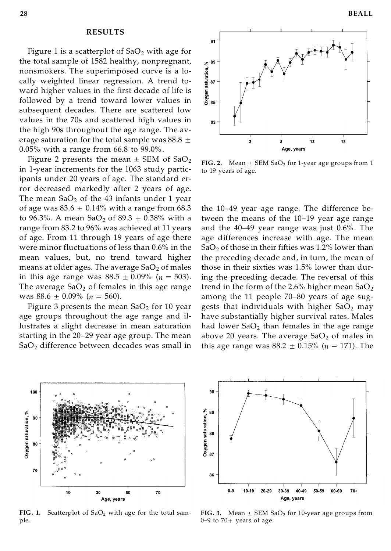## **RESULTS**

Figure 1 is a scatterplot of  $SaO<sub>2</sub>$  with age for the total sample of 1582 healthy, nonpregnant, nonsmokers. The superimposed curve is a locally weighted linear regression. A trend toward higher values in the first decade of life is nonsmokers. The superimposed curve is a locally weighted linear regression. A trend toward higher values in the first decade of life is  $\frac{1}{8}$  followed by a trend toward lower values in subsequent decades. There are scattered low values in the 70s and scattered high values in the high 90s throughout the age range. The average saturation for the total sample was 88.8  $\pm$ 0.05% with a range from 66.8 to 99.0%.

Figure 2 presents the mean  $\pm$  SEM of SaO<sub>2</sub> in 1-year increments for the 1063 study participants under 20 years of age. The standard error decreased markedly after 2 years of age. The mean  $SaO<sub>2</sub>$  of the 43 infants under 1 year of age was  $83.6 \pm 0.14\%$  with a range from 68.3 to 96.3%. A mean SaO<sub>2</sub> of 89.3  $\pm$  0.38% with a range from 83.2 to 96% was achieved at 11 years of age. From 11 through 19 years of age there were minor fluctuations of less than 0.6% in the mean values, but, no trend toward higher means at older ages. The average  $SaO<sub>2</sub>$  of males in this age range was  $88.5 \pm 0.09\%$  ( $n = 503$ ). The average  $SaO<sub>2</sub>$  of females in this age range was  $88.6 \pm 0.09\%$  ( $n = 560$ ).

Figure 3 presents the mean  $SaO<sub>2</sub>$  for 10 year age groups throughout the age range and illustrates a slight decrease in mean saturation starting in the 20–29 year age group. The mean SaO<sub>2</sub> difference between decades was small in



**FIG. 2.** Mean  $\pm$  SEM SaO<sub>2</sub> for 1-year age groups from 1 to 19 years of age.

the 10–49 year age range. The difference between the means of the 10–19 year age range and the 40–49 year range was just 0.6%. The age differences increase with age. The mean  $SaO<sub>2</sub>$  of those in their fifties was 1.2% lower than the preceding decade and, in turn, the mean of those in their sixties was 1.5% lower than during the preceding decade. The reversal of this trend in the form of the 2.6% higher mean  $SaO<sub>2</sub>$ among the 11 people 70–80 years of age suggests that individuals with higher  $SaO<sub>2</sub>$  may have substantially higher survival rates. Males had lower  $SaO<sub>2</sub>$  than females in the age range above 20 years. The average  $SaO<sub>2</sub>$  of males in this age range was  $88.2 \pm 0.15\%$  ( $n = 171$ ). The



FIG. 1. Scatterplot of SaO<sub>2</sub> with age for the total sample.



**FIG. 3.** Mean  $\pm$  SEM SaO<sub>2</sub> for 10-year age groups from  $0-9$  to  $70+$  years of age.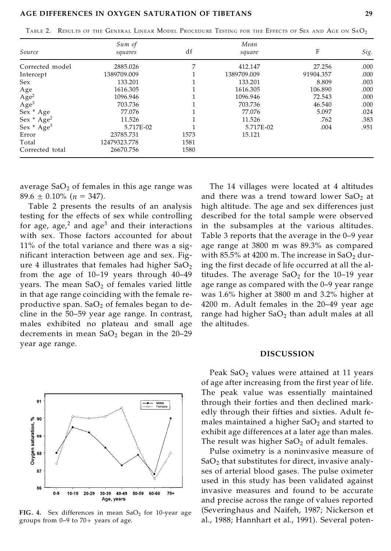#### **AGE DIFFERENCES IN OXYGEN SATURATION OF TIBETANS 29**

|  |  |  |  |  |  |  |  | TABLE 2. RESULTS OF THE GENERAL LINEAR MODEL PROCEDURE TESTING FOR THE EFFECTS OF SEX AND AGE ON SAO2 |
|--|--|--|--|--|--|--|--|-------------------------------------------------------------------------------------------------------|
|--|--|--|--|--|--|--|--|-------------------------------------------------------------------------------------------------------|

| Source                       | Sum of<br>squares | df   | Mean<br>square | F         | Sig. |
|------------------------------|-------------------|------|----------------|-----------|------|
| Corrected model              | 2885.026          |      | 412.147        | 27.256    | .000 |
| Intercept                    | 1389709.009       |      | 1389709.009    | 91904.357 | .000 |
| Sex                          | 133.201           |      | 133.201        | 8.809     | .003 |
| Age                          | 1616.305          |      | 1616.305       | 106.890   | .000 |
|                              | 1096.946          |      | 1096.946       | 72.543    | .000 |
| $\rm{Age}^2$<br>$\rm{Age}^3$ | 703.736           |      | 703.736        | 46.540    | .000 |
| Sex * Age                    | 77.076            |      | 77.076         | 5.097     | .024 |
| Sex * Age <sup>2</sup>       | 11.526            |      | 11.526         | .762      | .383 |
| Sex * Age <sup>3</sup>       | 5.717E-02         |      | 5.717E-02      | .004      | .951 |
| Error                        | 23785.731         | 1573 | 15.121         |           |      |
| Total                        | 12479323.778      | 1581 |                |           |      |
| Corrected total              | 26670.756         | 1580 |                |           |      |

average  $SaO<sub>2</sub>$  of females in this age range was  $89.6 \pm 0.10\%$  ( $n = 347$ ).

Table 2 presents the results of an analysis testing for the effects of sex while controlling for age, age,<sup>2</sup> and age<sup>3</sup> and their interactions with sex. Those factors accounted for about 11% of the total variance and there was a significant interaction between age and sex. Figure 4 illustrates that females had higher  $SaO<sub>2</sub>$ from the age of 10–19 years through 40–49 years. The mean  $SaO<sub>2</sub>$  of females varied little in that age range coinciding with the female reproductive span.  $SaO<sub>2</sub>$  of females began to decline in the 50–59 year age range. In contrast, males exhibited no plateau and small age decrements in mean  $SaO<sub>2</sub>$  began in the 20-29 year age range.



FIG. 4. Sex differences in mean  $SaO<sub>2</sub>$  for 10-year age groups from  $0-9$  to  $70+$  years of age.

The 14 villages were located at 4 altitudes and there was a trend toward lower  $SaO<sub>2</sub>$  at high altitude. The age and sex differences just described for the total sample were observed in the subsamples at the various altitudes. Table 3 reports that the average in the 0–9 year age range at 3800 m was 89.3% as compared with 85.5% at 4200 m. The increase in  $SaO<sub>2</sub>$  during the first decade of life occurred at all the altitudes. The average  $SaO_2$  for the 10–19 year age range as compared with the 0–9 year range was 1.6% higher at 3800 m and 3.2% higher at 4200 m. Adult females in the 20–49 year age range had higher  $SaO<sub>2</sub>$  than adult males at all the altitudes.

#### **DISCUSSION**

Peak  $SaO<sub>2</sub>$  values were attained at 11 years of age after increasing from the first year of life. The peak value was essentially maintained through their forties and then declined markedly through their fifties and sixties. Adult females maintained a higher  $SaO<sub>2</sub>$  and started to exhibit age differences at a later age than males. The result was higher  $SaO<sub>2</sub>$  of adult females.

Pulse oximetry is a noninvasive measure of  $SaO<sub>2</sub>$  that substitutes for direct, invasive analyses of arterial blood gases. The pulse oximeter used in this study has been validated against invasive measures and found to be accurate and precise across the range of values reported (Severinghaus and Naifeh, 1987; Nickerson et al., 1988; Hannhart et al., 1991). Several poten-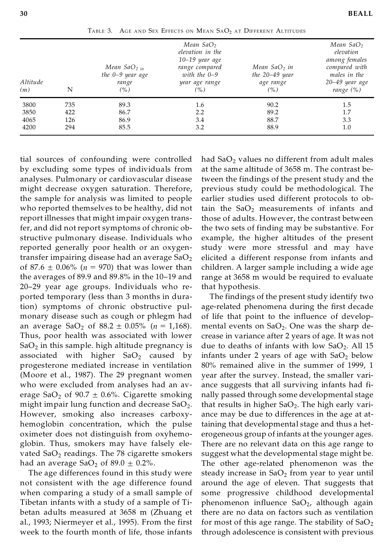| Altitude<br>(m) | N   | Mean $SaO2 in$<br>the 0-9 year age<br>range<br>(%) | Mean SaO <sub>2</sub><br>elevation in the<br>$10-19$ year age<br>range compared<br>with the $0-9$<br>year age range<br>(% ) | Mean SaO <sub>2</sub> in<br>the $20-49$ year<br>age range<br>(% ) | Mean SaO <sub>2</sub><br>elevation<br>among females<br>compared with<br>males in the<br>20-49 year age<br>range $(\%)$ |
|-----------------|-----|----------------------------------------------------|-----------------------------------------------------------------------------------------------------------------------------|-------------------------------------------------------------------|------------------------------------------------------------------------------------------------------------------------|
| 3800            | 735 | 89.3                                               | 1.6                                                                                                                         | 90.2                                                              | 1.5                                                                                                                    |
| 3850            | 422 | 86.7                                               | 2.2                                                                                                                         | 89.2                                                              | 1.7                                                                                                                    |
| 4065            | 126 | 86.9                                               | 3.4                                                                                                                         | 88.7                                                              | 3.3                                                                                                                    |
| 4200            | 294 | 85.5                                               | 3.2                                                                                                                         | 88.9                                                              | 1.0                                                                                                                    |

TABLE 3. AGE AND SEX EFFECTS ON MEAN SAO<sub>2</sub> AT DIFFERENT ALTITUDES

tial sources of confounding were controlled by excluding some types of individuals from analyses. Pulmonary or cardiovascular disease might decrease oxygen saturation. Therefore, the sample for analysis was limited to people who reported themselves to be healthy, did not report illnesses that might impair oxygen transfer, and did not report symptoms of chronic obstructive pulmonary disease. Individuals who reported generally poor health or an oxygentransfer impairing disease had an average  $SaO<sub>2</sub>$ of 87.6  $\pm$  0.06% ( $n = 970$ ) that was lower than the averages of 89.9 and 89.8% in the 10–19 and 20–29 year age groups. Individuals who reported temporary (less than 3 months in duration) symptoms of chronic obstructive pulmonary disease such as cough or phlegm had an average  $SaO_2$  of  $88.2 \pm 0.05\%$  ( $n = 1,168$ ). Thus, poor health was associated with lower Sa $\mathrm{O}_2$  in this sample. high altitude pregnancy is  $$ associated with higher  $SaO<sub>2</sub>$  caused by progesterone mediated increase in ventilation (Moore et al., 1987). The 29 pregnant women who were excluded from analyses had an average SaO<sub>2</sub> of 90.7  $\pm$  0.6%. Cigarette smoking might impair lung function and decrease Sa $\mathrm{O}_2$ . However, smoking also increases carboxyhemoglobin concentration, which the pulse oximeter does not distinguish from oxyhemoglobin. Thus, smokers may have falsely elevated  $SoO<sub>2</sub>$  readings. The 78 cigarette smokers had an average  $SaO<sub>2</sub>$  of 89.0  $\pm$  0.2%.

The age differences found in this study were not consistent with the age difference found when comparing a study of a small sample of Tibetan infants with a study of a sample of Tibetan adults measured at 3658 m (Zhuang et al., 1993; Niermeyer et al., 1995). From the first week to the fourth month of life, those infants

had  $SaO<sub>2</sub>$  values no different from adult males at the same altitude of 3658 m. The contrast between the findings of the present study and the previous study could be methodological. The earlier studies used different protocols to obtain the  $SaO<sub>2</sub>$  measurements of infants and those of adults. However, the contrast between the two sets of finding may be substantive. For example, the higher altitudes of the present study were more stressful and may have elicited a different response from infants and children. A larger sample including a wide age range at 3658 m would be required to evaluate that hypothesis.

The findings of the present study identify two age-related phenomena during the first decade of life that point to the influence of developmental events on  $SaO<sub>2</sub>$ . One was the sharp decrease in variance after 2 years of age. It was not due to deaths of infants with low  $SaO<sub>2</sub>$ . All 15 infants under 2 years of age with  $SaO<sub>2</sub>$  below 80% remained alive in the summer of 1999, 1 year after the survey. Instead, the smaller variance suggests that all surviving infants had finally passed through some developmental stage that results in higher  $SaO<sub>2</sub>$ . The high early variance may be due to differences in the age at attaining that developmental stage and thus a heterogeneous group of infants at the younger ages. There are no relevant data on this age range to suggest what the developmental stage might be. The other age-related phenomenon was the steady increase in  $SaO_2$  from year to year until around the age of eleven. That suggests that some progressive childhood developmental phenomenon influence  $SaO<sub>2</sub>$ , although again there are no data on factors such as ventilation for most of this age range. The stability of  $SaO<sub>2</sub>$ through adolescence is consistent with previous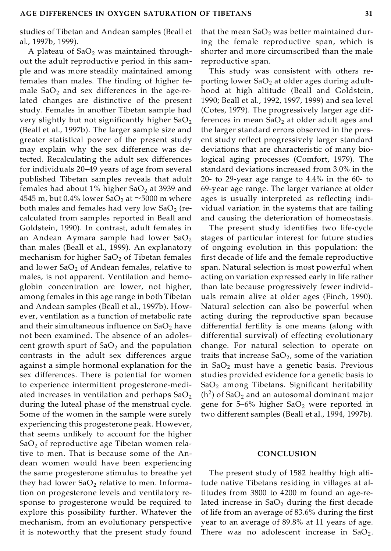studies of Tibetan and Andean samples (Beall et al., 1997b, 1999).

A plateau of  $SaO<sub>2</sub>$  was maintained throughout the adult reproductive period in this sam ple and was more steadily maintained among females than males. The finding of higher female  $SaO<sub>2</sub>$  and sex differences in the age-related changes are distinctive of the present study. Females in another Tibetan sample had very slightly but not significantly higher  $SaO<sub>2</sub>$ (Beall et al., 1997b). The larger sample size and greater statistical power of the present study may explain why the sex difference was detected. Recalculating the adult sex differences for individuals 20–49 years of age from several published Tibetan samples reveals that adult females had about 1% higher  $SaO<sub>2</sub>$  at 3939 and 4545 m, but 0.4% lower SaO<sub>2</sub> at  $\sim$ 5000 m where both males and females had very low  $SaO<sub>2</sub>$  (recalculated from samples reported in Beall and Goldstein, 1990). In contrast, adult females in an Andean Aymara sample had lower  $SaO<sub>2</sub>$ than males (Beall et al., 1999). An explanatory mechanism for higher  $SaO<sub>2</sub>$  of Tibetan females and lower  $SaO<sub>2</sub>$  of Andean females, relative to males, is not apparent. Ventilation and hemoglobin concentration are lower, not higher, among females in this age range in both Tibetan and Andean samples (Beall et al., 1997b). However, ventilation as a function of metabolic rate and their simultaneous influence on  $SaO<sub>2</sub>$  have not been examined. The absence of an adolescent growth spurt of  $SaO<sub>2</sub>$  and the population contrasts in the adult sex differences argue against a simple hormonal explanation for the sex differences. There is potential for women to experience intermittent progesterone-mediated increases in ventilation and perhaps  $CaO<sub>2</sub>$ during the luteal phase of the menstrual cycle. Some of the women in the sample were surely experiencing this progesterone peak. However, that seems unlikely to account for the higher  $SoO<sub>2</sub>$  of reproductive age Tibetan women relative to men. That is because some of the Andean women would have been experiencing the same progesterone stimulus to breathe yet they had lower  $CaO<sub>2</sub>$  relative to men. Information on progesterone levels and ventilatory response to progesterone would be required to explore this possibility further. Whatever the mechanism, from an evolutionary perspective it is noteworthy that the present study found

that the mean  $SaO<sub>2</sub>$  was better maintained during the female reproductive span, which is shorter and more circumscribed than the male reproductive span.

This study was consistent with others reporting lower  $SaO<sub>2</sub>$  at older ages during adulthood at high altitude (Beall and Goldstein, 1990; Beall et al., 1992, 1997, 1999) and sea level (Cotes, 1979). The progressively larger age differences in mean  $SaO<sub>2</sub>$  at older adult ages and the larger standard errors observed in the present study reflect progressively larger standard deviations that are characteristic of many biological aging processes (Comfort, 1979). The standard deviations increased from 3.0% in the 20- to 29-year age range to 4.4% in the 60- to 69-year age range. The larger variance at older ages is usually interpreted as reflecting individual variation in the systems that are failing and causing the deterioration of homeostasis.

The present study identifies two life-cycle stages of particular interest for future studies of ongoing evolution in this population: the first decade of life and the female reproductive span. Natural selection is most powerful when acting on variation expressed early in life rather than late because progressively fewer individuals remain alive at older ages (Finch, 1990). Natural selection can also be powerful when acting during the reproductive span because differential fertility is one means (along with differential survival) of effecting evolutionary change. For natural selection to operate on traits that increase  $SaO<sub>2</sub>$ , some of the variation in  $SaO<sub>2</sub>$  must have a genetic basis. Previous studies provided evidence for a genetic basis to  $SoO<sub>2</sub>$  among Tibetans. Significant heritability  $(h<sup>2</sup>)$  of SaO<sub>2</sub> and an autosomal dominant major gene for 5–6% higher  $SaO<sub>2</sub>$  were reported in two different samples (Beall et al., 1994, 1997b).

#### **CONCLUSION**

The present study of 1582 healthy high altitude native Tibetans residing in villages at altitudes from 3800 to 4200 m found an age-related increase in  $SaO<sub>2</sub>$  during the first decade of life from an average of 83.6% during the first year to an average of 89.8% at 11 years of age. There was no adolescent increase in  $SaO<sub>2</sub>$ .